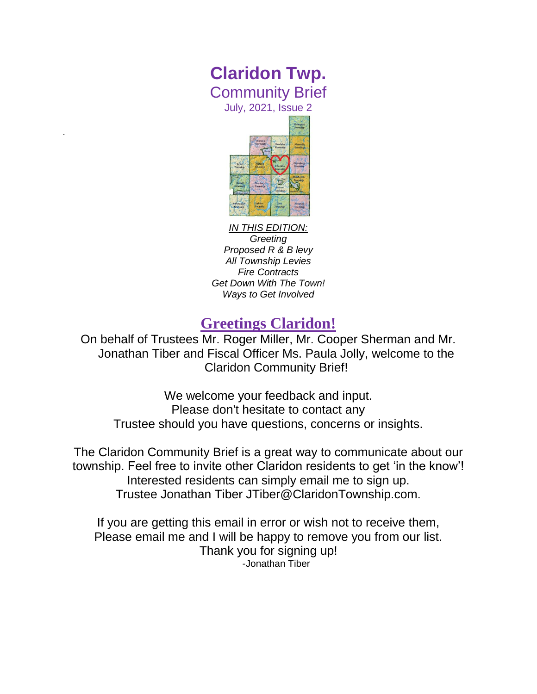# **Claridon Twp.** Community Brief

July, 2021, Issue 2

*.*



*IN THIS EDITION:*

*Greeting Proposed R & B levy All Township Levies Fire Contracts Get Down With The Town! Ways to Get Involved*

## **Greetings Claridon!**

On behalf of Trustees Mr. Roger Miller, Mr. Cooper Sherman and Mr. Jonathan Tiber and Fiscal Officer Ms. Paula Jolly, welcome to the Claridon Community Brief!

We welcome your feedback and input. Please don't hesitate to contact any Trustee should you have questions, concerns or insights.

The Claridon Community Brief is a great way to communicate about our township. Feel free to invite other Claridon residents to get 'in the know'! Interested residents can simply email me to sign up. Trustee Jonathan Tiber JTiber@ClaridonTownship.com.

If you are getting this email in error or wish not to receive them, Please email me and I will be happy to remove you from our list. Thank you for signing up! -Jonathan Tiber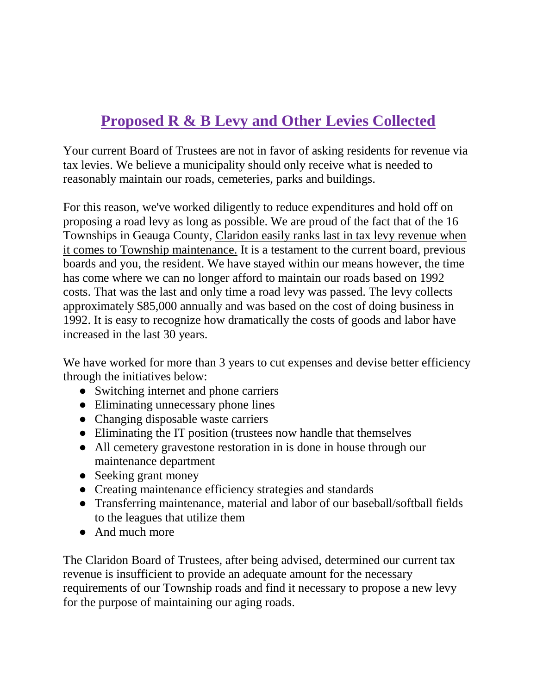# **Proposed R & B Levy and Other Levies Collected**

Your current Board of Trustees are not in favor of asking residents for revenue via tax levies. We believe a municipality should only receive what is needed to reasonably maintain our roads, cemeteries, parks and buildings.

For this reason, we've worked diligently to reduce expenditures and hold off on proposing a road levy as long as possible. We are proud of the fact that of the 16 Townships in Geauga County, Claridon easily ranks last in tax levy revenue when it comes to Township maintenance. It is a testament to the current board, previous boards and you, the resident. We have stayed within our means however, the time has come where we can no longer afford to maintain our roads based on 1992 costs. That was the last and only time a road levy was passed. The levy collects approximately \$85,000 annually and was based on the cost of doing business in 1992. It is easy to recognize how dramatically the costs of goods and labor have increased in the last 30 years.

We have worked for more than 3 years to cut expenses and devise better efficiency through the initiatives below:

- Switching internet and phone carriers
- Eliminating unnecessary phone lines
- Changing disposable waste carriers
- Eliminating the IT position (trustees now handle that themselves
- All cemetery gravestone restoration in is done in house through our maintenance department
- Seeking grant money
- Creating maintenance efficiency strategies and standards
- Transferring maintenance, material and labor of our baseball/softball fields to the leagues that utilize them
- And much more

The Claridon Board of Trustees, after being advised, determined our current tax revenue is insufficient to provide an adequate amount for the necessary requirements of our Township roads and find it necessary to propose a new levy for the purpose of maintaining our aging roads.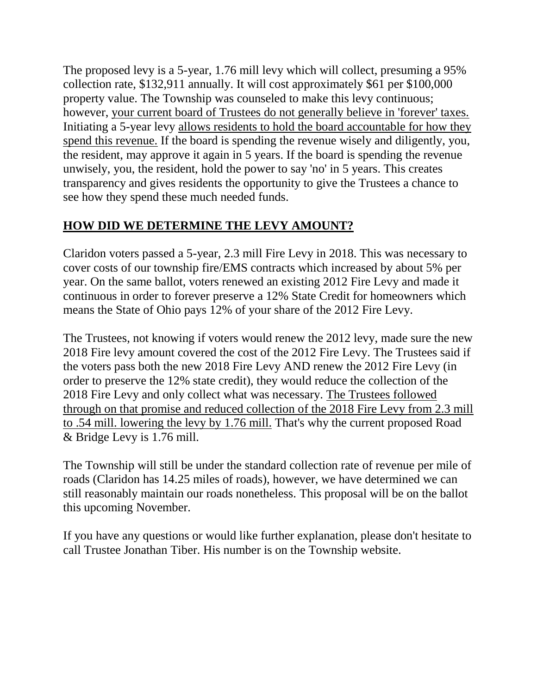The proposed levy is a 5-year, 1.76 mill levy which will collect, presuming a 95% collection rate, \$132,911 annually. It will cost approximately \$61 per \$100,000 property value. The Township was counseled to make this levy continuous; however, your current board of Trustees do not generally believe in 'forever' taxes. Initiating a 5-year levy allows residents to hold the board accountable for how they spend this revenue. If the board is spending the revenue wisely and diligently, you, the resident, may approve it again in 5 years. If the board is spending the revenue unwisely, you, the resident, hold the power to say 'no' in 5 years. This creates transparency and gives residents the opportunity to give the Trustees a chance to see how they spend these much needed funds.

### **HOW DID WE DETERMINE THE LEVY AMOUNT?**

Claridon voters passed a 5-year, 2.3 mill Fire Levy in 2018. This was necessary to cover costs of our township fire/EMS contracts which increased by about 5% per year. On the same ballot, voters renewed an existing 2012 Fire Levy and made it continuous in order to forever preserve a 12% State Credit for homeowners which means the State of Ohio pays 12% of your share of the 2012 Fire Levy.

The Trustees, not knowing if voters would renew the 2012 levy, made sure the new 2018 Fire levy amount covered the cost of the 2012 Fire Levy. The Trustees said if the voters pass both the new 2018 Fire Levy AND renew the 2012 Fire Levy (in order to preserve the 12% state credit), they would reduce the collection of the 2018 Fire Levy and only collect what was necessary. The Trustees followed through on that promise and reduced collection of the 2018 Fire Levy from 2.3 mill to .54 mill. lowering the levy by 1.76 mill. That's why the current proposed Road & Bridge Levy is 1.76 mill.

The Township will still be under the standard collection rate of revenue per mile of roads (Claridon has 14.25 miles of roads), however, we have determined we can still reasonably maintain our roads nonetheless. This proposal will be on the ballot this upcoming November.

If you have any questions or would like further explanation, please don't hesitate to call Trustee Jonathan Tiber. His number is on the Township website.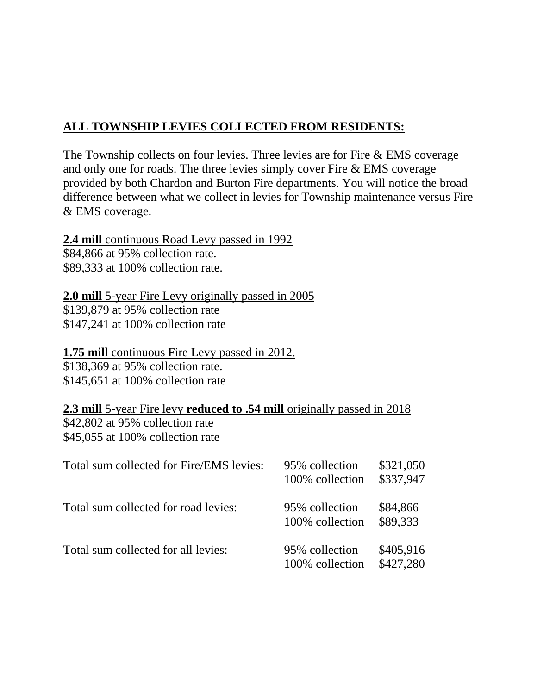## **ALL TOWNSHIP LEVIES COLLECTED FROM RESIDENTS:**

The Township collects on four levies. Three levies are for Fire & EMS coverage and only one for roads. The three levies simply cover Fire & EMS coverage provided by both Chardon and Burton Fire departments. You will notice the broad difference between what we collect in levies for Township maintenance versus Fire & EMS coverage.

#### **2.4 mill** continuous Road Levy passed in 1992

\$84,866 at 95% collection rate. \$89,333 at 100% collection rate.

#### **2.0 mill** 5-year Fire Levy originally passed in 2005

\$139,879 at 95% collection rate \$147,241 at 100% collection rate

#### **1.75 mill** continuous Fire Levy passed in 2012.

\$138,369 at 95% collection rate. \$145,651 at 100% collection rate

## **2.3 mill** 5-year Fire levy **reduced to .54 mill** originally passed in 2018 \$42,802 at 95% collection rate

\$45,055 at 100% collection rate

| Total sum collected for Fire/EMS levies: | 95% collection<br>100% collection | \$321,050<br>\$337,947 |
|------------------------------------------|-----------------------------------|------------------------|
| Total sum collected for road levies:     | 95% collection<br>100% collection | \$84,866<br>\$89,333   |
| Total sum collected for all levies:      | 95% collection<br>100% collection | \$405,916<br>\$427,280 |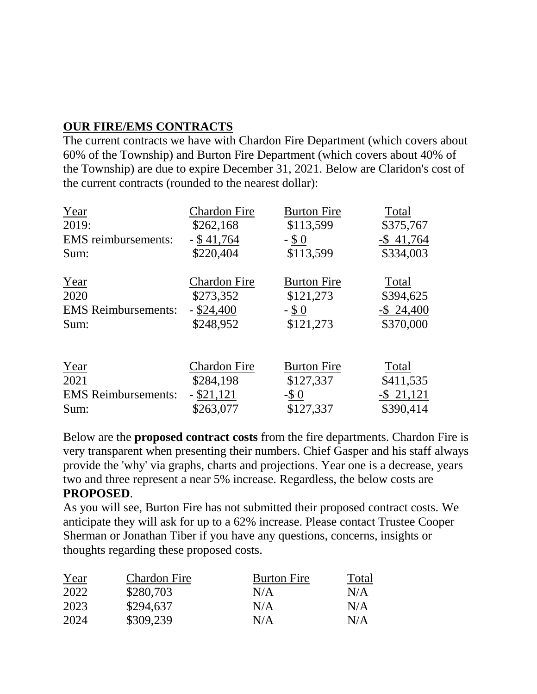## **OUR FIRE/EMS CONTRACTS**

The current contracts we have with Chardon Fire Department (which covers about 60% of the Township) and Burton Fire Department (which covers about 40% of the Township) are due to expire December 31, 2021. Below are Claridon's cost of the current contracts (rounded to the nearest dollar):

| Year                       | <b>Chardon Fire</b> | <b>Burton Fire</b> | Total         |
|----------------------------|---------------------|--------------------|---------------|
| 2019:                      | \$262,168           | \$113,599          | \$375,767     |
| <b>EMS</b> reimbursements: | $-$ \$ 41,764       | $-$ \$ 0           | $-$ \$41,764  |
| Sum:                       | \$220,404           | \$113,599          | \$334,003     |
| Year                       | <b>Chardon Fire</b> | <b>Burton Fire</b> | Total         |
| 2020                       | \$273,352           | \$121,273          | \$394,625     |
| <b>EMS</b> Reimbursements: | $-$ \$24,400        | $-$ \$ 0           | $-$ \$ 24,400 |
| Sum:                       | \$248,952           | \$121,273          | \$370,000     |
| Year                       | <b>Chardon Fire</b> | <b>Burton Fire</b> | Total         |
| 2021                       | \$284,198           | \$127,337          | \$411,535     |
| <b>EMS</b> Reimbursements: | $-$ \$21,121        | $-$ \$ 0           | $-$ \$ 21,121 |
| Sum:                       | \$263,077           | \$127,337          | \$390,414     |

Below are the **proposed contract costs** from the fire departments. Chardon Fire is very transparent when presenting their numbers. Chief Gasper and his staff always provide the 'why' via graphs, charts and projections. Year one is a decrease, years two and three represent a near 5% increase. Regardless, the below costs are **PROPOSED**.

As you will see, Burton Fire has not submitted their proposed contract costs. We anticipate they will ask for up to a 62% increase. Please contact Trustee Cooper Sherman or Jonathan Tiber if you have any questions, concerns, insights or thoughts regarding these proposed costs.

| Year | <b>Chardon Fire</b> | <b>Burton Fire</b> | Total |
|------|---------------------|--------------------|-------|
| 2022 | \$280,703           | N/A                | N/A   |
| 2023 | \$294,637           | N/A                | N/A   |
| 2024 | \$309,239           | N/A                | N/A   |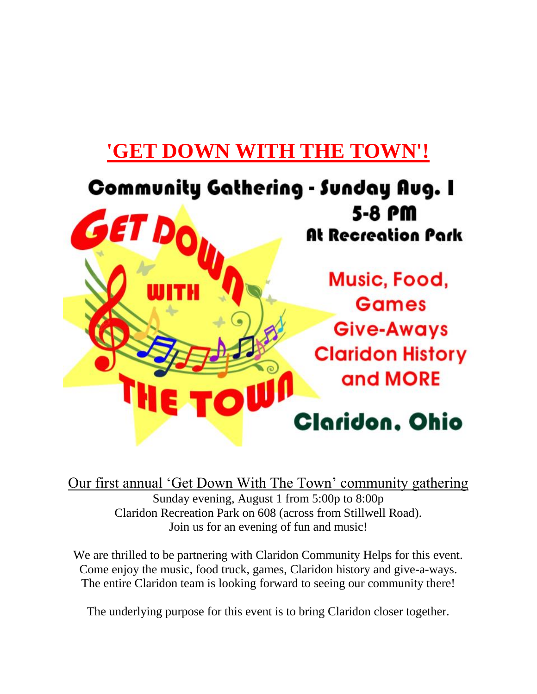# **'GET DOWN WITH THE TOWN'!**



Our first annual 'Get Down With The Town' community gathering Sunday evening, August 1 from 5:00p to 8:00p Claridon Recreation Park on 608 (across from Stillwell Road). Join us for an evening of fun and music!

We are thrilled to be partnering with Claridon Community Helps for this event. Come enjoy the music, food truck, games, Claridon history and give-a-ways. The entire Claridon team is looking forward to seeing our community there!

The underlying purpose for this event is to bring Claridon closer together.